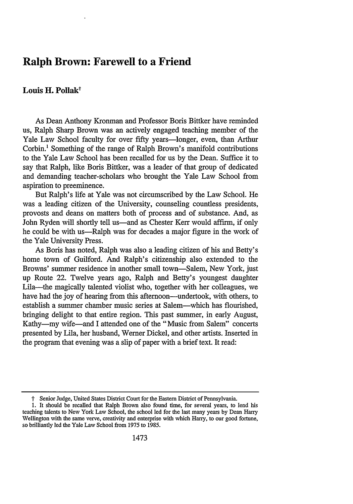## **Ralph Brown: Farewell to a Friend**

## Louis H. Pollak<sup>t</sup>

As Dean Anthony Kronman and Professor Boris Bittker have reminded us, Ralph Sharp Brown was an actively engaged teaching member of the Yale Law School faculty for over fifty years—longer, even, than Arthur Corbin! Something of the range of Ralph Brown's manifold contributions to the Yale Law School has been recalled for us **by** the Dean. Suffice it to say that Ralph, like Boris Bittker, was a leader of that group of dedicated and demanding teacher-scholars who brought the Yale Law School from aspiration to preeminence.

But Ralph's life at Yale was not circumscribed **by** the Law School. He was a leading citizen of the University, counseling countless presidents, provosts and deans on matters both of process and of substance. And, as John Ryden will shortly tell us-and as Chester Kerr would affirm, if only he could be with us—Ralph was for decades a major figure in the work of the Yale University Press.

As Boris has noted, Ralph was also a leading citizen of his and Betty's home town of Guilford. And Ralph's citizenship also extended to the Browns' summer residence in another small town-Salem, New York, just up Route 22. Twelve years ago, Ralph and Betty's youngest daughter Lila—the magically talented violist who, together with her colleagues, we have had the joy of hearing from this afternoon—undertook, with others, to establish a summer chamber music series at Salem-which has flourished, bringing delight to that entire region. This past summer, in early August, Kathy-my wife-and I attended one of the "Music from Salem" concerts presented by Lila, her husband, Werner Dickel, and other artists. Inserted in the program that evening was a slip of paper with a brief text. It read:

t Senior Judge, United States District Court for the Eastern District of Pennsylvania.

I. It should be recalled that Ralph Brown also found time, for several years, to lend his teaching talents to New York Law School, the school led for the last many years by Dean Harry Wellington with the same verve, creativity and enterprise with which Harry, to our good fortune, so brilliantly led the Yale Law School from 1975 to 1985.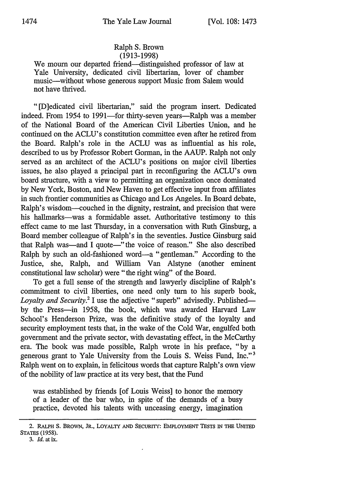Ralph S. Brown (1913-1998)

We mourn our departed friend-distinguished professor of law at Yale University, dedicated civil libertarian, lover of chamber music-without whose generous support Music from Salem would not have thrived.

"[D]edicated civil libertarian," said the program insert. Dedicated indeed. From 1954 to 1991—for thirty-seven years—Ralph was a member of the National Board of the American Civil Liberties Union, and he continued on the ACLU's constitution committee even after he retired from the Board. Ralph's role in the ACLU was as influential as his role, described to us by Professor Robert Gorman, in the AAUP. Ralph not only served as an architect of the ACLU's positions on major civil liberties issues, he also played a principal part in reconfiguring the ACLU's own board structure, with a view to permitting an organization once dominated by New York, Boston, and New Haven to get effective input from affiliates in such frontier communities as Chicago and Los Angeles. In Board debate, Ralph's wisdom-couched in the dignity, restraint, and precision that were his hallmarks--was a formidable asset. Authoritative testimony to this effect came to me last Thursday, in a conversation with Ruth Ginsburg, a Board member colleague of Ralph's in the seventies. Justice Ginsburg said that Ralph was-and I quote-" the voice of reason." She also described Ralph by such an old-fashioned word-a "gentleman." According to the Justice, she, Ralph, and William Van Alstyne (another eminent constitutional law scholar) were "the right wing" of the Board.

To get a full sense of the strength and lawyerly discipline of Ralph's commitment to civil liberties, one need only turn to his superb book, *Loyalty and Security.*<sup>2</sup> I use the adjective "superb" advisedly. Published by the Press-in 1958, the book, which was awarded Harvard Law School's Henderson Prize, was the definitive study of the loyalty and security employment tests that, in the wake of the Cold War, engulfed both government and the private sector, with devastating effect, in the McCarthy era. The book was made possible, Ralph wrote in his preface, "by a generous grant to Yale University from the Louis S. Weiss Fund, Inc." <sup>3</sup> Ralph went on to explain, in felicitous words that capture Ralph's own view of the nobility of law practice at its very best, that the Fund

was established by friends [of Louis Weiss] to honor the memory of a leader of the bar who, in spite of the demands of a busy practice, devoted his talents with unceasing energy, imagination

<sup>2.</sup> **RALPH S. BROWN,** JR., **LOYALTY AND SEcURITY: EMPLOYMENT TESTS IN THE UNITED STATES (1958).**

**<sup>3.</sup>** *Id.* at ix.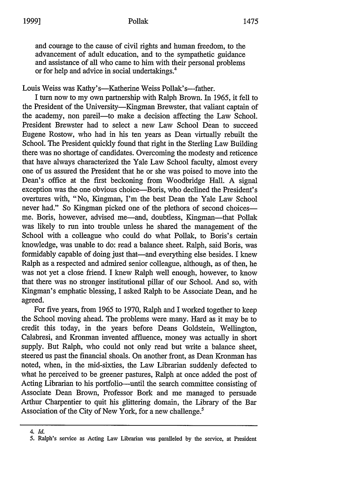and courage to the cause of civil rights and human freedom, to the advancement of adult education, and to the sympathetic guidance and assistance of all who came to him with their personal problems or for help and advice in social undertakings.4

Louis Weiss was Kathy's-Katherine Weiss Pollak's-father.

I turn now to my own partnership with Ralph Brown. In 1965, it fell to the President of the University-Kingman Brewster, that valiant captain of the academy, non pareil—to make a decision affecting the Law School. President Brewster had to select a new Law School Dean to succeed Eugene Rostow, who had in his ten years as Dean virtually rebuilt the School. The President quickly found that right in the Sterling Law Building there was no shortage of candidates. Overcoming the modesty and reticence that have always characterized the Yale Law School faculty, almost every one of us assured the President that he or she was poised to move into the Dean's office at the first beckoning from Woodbridge Hall. A signal exception was the one obvious choice-Boris, who declined the President's overtures with, "No, Kingman, I'm the best Dean the Yale Law School never had." So Kingman picked one of the plethora of second choicesme. Boris, however, advised me-and, doubtless, Kingman-that Pollak was likely to run into trouble unless he shared the management of the School with a colleague who could do what Pollak, to Boris's certain knowledge, was unable to do: read a balance sheet. Ralph, said Boris, was formidably capable of doing just that—and everything else besides. I knew Ralph as a respected and admired senior colleague, although, as of then, he was not yet a close friend. I knew Ralph well enough, however, to know that there was no stronger institutional pillar of our School. And so, with Kingman's emphatic blessing, I asked Ralph to be Associate Dean, and he agreed.

For five years, from 1965 to 1970, Ralph and I worked together to keep the School moving ahead. The problems were many. Hard as it may be to credit this today, in the years before Deans Goldstein, Wellington, Calabresi, and Kronman invented affluence, money was actually in short supply. But Ralph, who could not only read but write a balance sheet, steered us past the financial shoals. On another front, as Dean Kronman has noted, when, in the mid-sixties, the Law Librarian suddenly defected to what he perceived to be greener pastures, Ralph at once added the post of Acting Librarian to his portfolio-until the search committee consisting of Associate Dean Brown, Professor Bork and me managed to persuade Arthur Charpentier to quit his glittering domain, the Library of the Bar Association of the City of New York, for a new challenge.<sup>5</sup>

*<sup>4.</sup> Id.*

<sup>5.</sup> Ralph's service as Acting Law Librarian was paralleled **by** the service, at President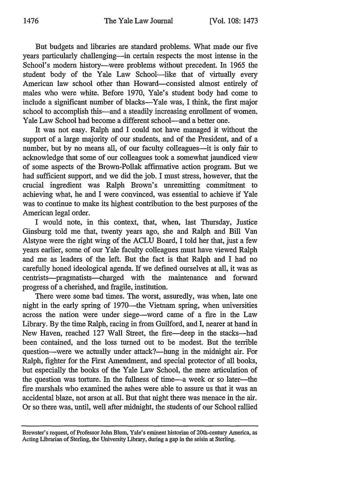But budgets and libraries are standard problems. What made our five years particularly challenging-in certain respects the most intense in the School's modern history—were problems without precedent. In 1965 the student body of the Yale Law School-like that of virtually every American law school other than Howard-consisted almost entirely of males who were white. Before 1970, Yale's student body had come to include a significant number of blacks-Yale was, I think, the first major school to accomplish this—and a steadily increasing enrollment of women, Yale Law School had become a different school-and a better one.

It was not easy. Ralph and I could not have managed it without the support of a large majority of our students, and of the President, and of a number, but by no means all, of our faculty colleagues--it is only fair to acknowledge that some of our colleagues took a somewhat jaundiced view of some aspects of the Brown-Pollak affirmative action program. But we had sufficient support, and we did the job. I must stress, however, that the crucial ingredient was Ralph Brown's unremitting commitment to achieving what, he and I were convinced, was essential to achieve if Yale was to continue to make its highest contribution to the best purposes of the American legal order.

I would note, in this context, that, when, last Thursday, Justice Ginsburg told me that, twenty years ago, she and Ralph and Bill Van Alstyne were the right wing of the ACLU Board, I told her that, just a few years earlier, some of our Yale faculty colleagues must have viewed Ralph and me as leaders of the left. But the fact is that Ralph and I had no carefully honed ideological agenda. If we defined ourselves at all, it was as centrists-pragmatists--charged with the maintenance and forward progress of a cherished, and fragile, institution.

There were some bad times. The worst, assuredly, was when, late one night in the early spring of 1970—the Vietnam spring, when universities across the nation were under siege-word came of a fire in the Law Library. By the time Ralph, racing in from Guilford, and I, nearer at hand in New Haven, reached 127 Wall Street, the fire-deep in the stacks-had been contained, and the loss turned out to be modest. But the terrible question--were we actually under attack?--hung in the midnight air. For Ralph, fighter for the First Amendment, and special protector of all books, but especially the books of the Yale Law School, the mere articulation of the question was torture. In the fullness of time-a week or so later-the fire marshals who examined the ashes were able to assure us that it was an accidental blaze, not arson at all. But that night there was menace in the air. Or so there was, until, well after midnight, the students of our School rallied

Brewster's request, of Professor John Blum, Yale's eminent historian of 20th-century America, as Acting Librarian of Sterling, the University Library, during a gap in the seisin at Sterling.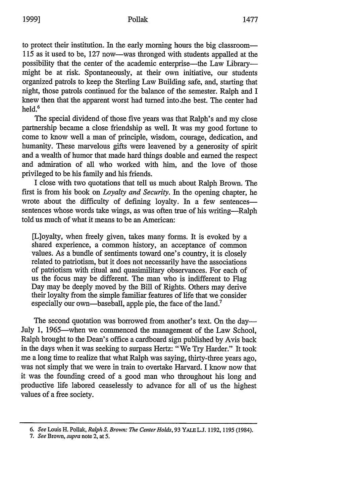to protect their institution. In the early morning hours the big classroom-115 as it used to be, 127 now-was thronged with students appalled at the possibility that the center of the academic enterprise—the Law Librarymight be at risk. Spontaneously, at their own initiative, our students organized patrols to keep the Sterling Law Building safe, and, starting that night, those patrols continued for the balance of the semester. Ralph and I knew then that the apparent worst had turned into the best. The center had held.<sup>6</sup>

The special dividend of those five years was that Ralph's and my close partnership became a close friendship as well. It was my good fortune to come to know well a man of principle, wisdom, courage, dedication, and humanity. These marvelous gifts were leavened by a generosity of spirit and a wealth of humor that made hard things doable and earned the respect and admiration of all who worked with him, and the love of those privileged to be his family and his friends.

I close with two quotations that tell us much about Ralph Brown. The first is from his book on *Loyalty and Security.* In the opening chapter, he wrote about the difficulty of defining loyalty. In a few sentencessentences whose words take wings, as was often true of his writing---Ralph told us much of what it means to be an American:

[L]oyalty, when freely given, takes many forms. It is evoked by a shared experience, a common history, an acceptance of common values. As a bundle of sentiments toward one's country, it is closely related to patriotism, but it does not necessarily have the associations of patriotism with ritual and quasimilitary observances. For each of us the focus may be different. The man who is indifferent to Flag Day may be deeply moved by the Bill of Rights. Others may derive their loyalty from the simple familiar features of life that we consider especially our own—baseball, apple pie, the face of the land.<sup>7</sup>

The second quotation was borrowed from another's text. On the day-July 1, 1965-when we commenced the management of the Law School, Ralph brought to the Dean's office a cardboard sign published by Avis back in the days when it was seeking to surpass Hertz: "We Try Harder." It took me a long time to realize that what Ralph was saying, thirty-three years ago, was not simply that we were in train to overtake Harvard. I know now that it was the founding creed of a good man who throughout his long and productive life labored ceaselessly to advance for all of us the highest values of a free society.

*7. See* Brown, *supra* note 2, at **5.**

*<sup>6.</sup> See* Louis H. Pollak, *Ralph S. Brown: The Center Holds,* **93** YALE **L.J. 1192, 1195** (1984).